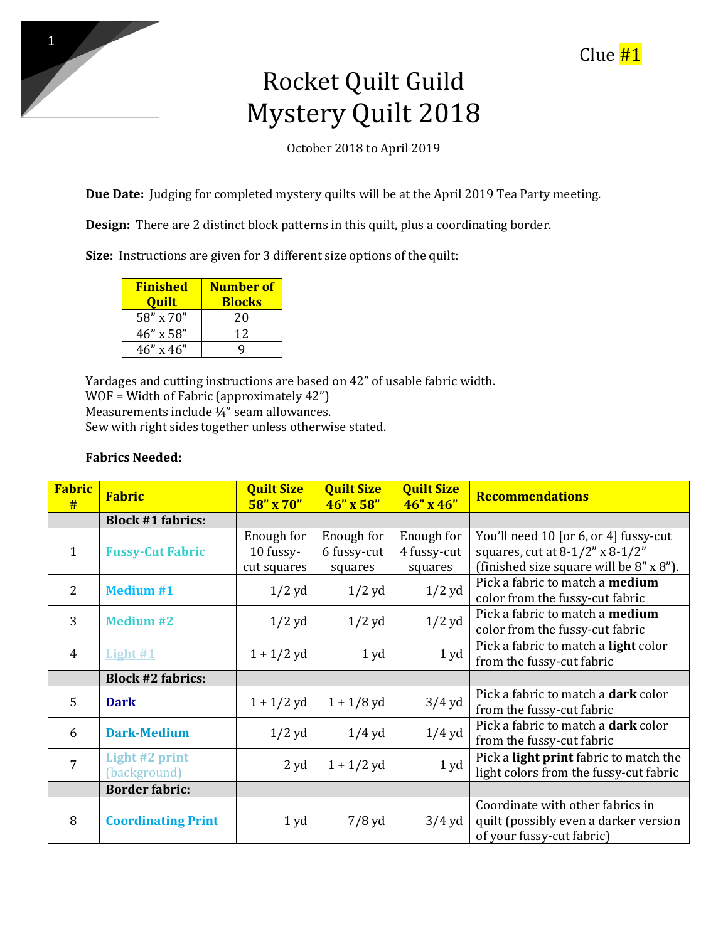

## Clue #1

## Rocket Quilt Guild Mystery Quilt 2018

October 2018 to April 2019

**Due Date:** Judging for completed mystery quilts will be at the April 2019 Tea Party meeting.

**Design:** There are 2 distinct block patterns in this quilt, plus a coordinating border.

**Size:** Instructions are given for 3 different size options of the quilt:

| <b>Finished</b>    | Number of     |  |  |
|--------------------|---------------|--|--|
| <b>Quilt</b>       | <b>Blocks</b> |  |  |
| 58" x 70"          | 20            |  |  |
| $46'' \times 58''$ | 12            |  |  |
| $46''$ x $46''$    |               |  |  |

Yardages and cutting instructions are based on 42" of usable fabric width. WOF = Width of Fabric (approximately 42") Measurements include ¼" seam allowances. Sew with right sides together unless otherwise stated.

## **Fabrics Needed:**

| <b>Fabric</b><br># | <b>Fabric</b>                         | <b>Quilt Size</b><br>$58'' \times 70''$ | <b>Quilt Size</b><br>46" x 58"       | <b>Quilt Size</b><br>$46''$ x $46''$ | <b>Recommendations</b>                                                                                                    |
|--------------------|---------------------------------------|-----------------------------------------|--------------------------------------|--------------------------------------|---------------------------------------------------------------------------------------------------------------------------|
|                    | <b>Block #1 fabrics:</b>              |                                         |                                      |                                      |                                                                                                                           |
| $\mathbf{1}$       | <b>Fussy-Cut Fabric</b>               | Enough for<br>10 fussy-<br>cut squares  | Enough for<br>6 fussy-cut<br>squares | Enough for<br>4 fussy-cut<br>squares | You'll need 10 [or 6, or 4] fussy-cut<br>squares, cut at $8-1/2$ " x $8-1/2$ "<br>(finished size square will be 8" x 8"). |
| 2                  | <b>Medium #1</b>                      | $1/2$ yd                                | $1/2$ yd                             | $1/2$ yd                             | Pick a fabric to match a <b>medium</b><br>color from the fussy-cut fabric                                                 |
| 3                  | <b>Medium #2</b>                      | $1/2$ yd                                | $1/2$ yd                             | $1/2$ yd                             | Pick a fabric to match a medium<br>color from the fussy-cut fabric                                                        |
| 4                  | Light #1                              | $1 + 1/2$ yd                            | 1yd                                  | 1yd                                  | Pick a fabric to match a light color<br>from the fussy-cut fabric                                                         |
|                    | <b>Block #2 fabrics:</b>              |                                         |                                      |                                      |                                                                                                                           |
| $\overline{5}$     | <b>Dark</b>                           | $1 + 1/2$ yd                            | $1 + 1/8$ yd                         | $3/4$ yd                             | Pick a fabric to match a <b>dark</b> color<br>from the fussy-cut fabric                                                   |
| 6                  | <b>Dark-Medium</b>                    | $1/2$ yd                                | $1/4$ yd                             | $1/4$ yd                             | Pick a fabric to match a <b>dark</b> color<br>from the fussy-cut fabric                                                   |
| $\overline{7}$     | <b>Light #2 print</b><br>(background) | 2 yd                                    | $1 + 1/2$ yd                         | 1yd                                  | Pick a <b>light print</b> fabric to match the<br>light colors from the fussy-cut fabric                                   |
|                    | <b>Border fabric:</b>                 |                                         |                                      |                                      |                                                                                                                           |
| 8                  | <b>Coordinating Print</b>             | 1 yd                                    | $7/8$ yd                             | $3/4$ yd                             | Coordinate with other fabrics in<br>quilt (possibly even a darker version<br>of your fussy-cut fabric)                    |